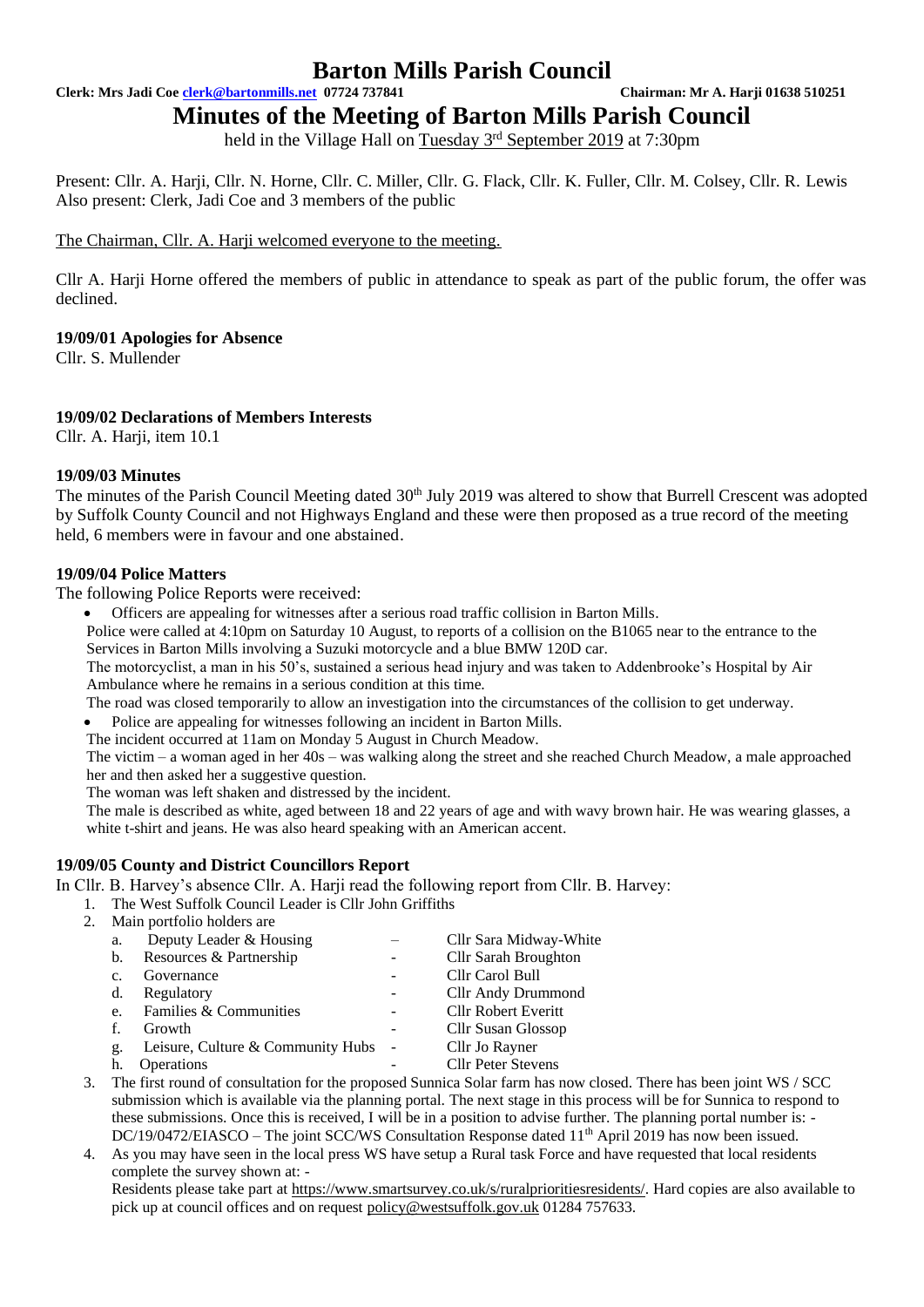**Clerk: Mrs Jadi Coe [clerk@bartonmills.net](mailto:clerk@bartonmills.net) 07724 737841 Chairman: Mr A. Harji 01638 510251**

**Minutes of the Meeting of Barton Mills Parish Council**

held in the Village Hall on Tuesday 3<sup>rd</sup> September 2019 at 7:30pm

Present: Cllr. A. Harji, Cllr. N. Horne, Cllr. C. Miller, Cllr. G. Flack, Cllr. K. Fuller, Cllr. M. Colsey, Cllr. R. Lewis Also present: Clerk, Jadi Coe and 3 members of the public

The Chairman, Cllr. A. Harji welcomed everyone to the meeting.

Cllr A. Harji Horne offered the members of public in attendance to speak as part of the public forum, the offer was declined.

**19/09/01 Apologies for Absence** 

Cllr. S. Mullender

#### **19/09/02 Declarations of Members Interests**

Cllr. A. Harii, item 10.1

#### **19/09/03 Minutes**

The minutes of the Parish Council Meeting dated 30<sup>th</sup> July 2019 was altered to show that Burrell Crescent was adopted by Suffolk County Council and not Highways England and these were then proposed as a true record of the meeting held, 6 members were in favour and one abstained.

#### **19/09/04 Police Matters**

The following Police Reports were received:

• Officers are appealing for witnesses after a serious road traffic collision in Barton Mills.

Police were called at 4:10pm on Saturday 10 August, to reports of a collision on the B1065 near to the entrance to the Services in Barton Mills involving a Suzuki motorcycle and a blue BMW 120D car.

The motorcyclist, a man in his 50's, sustained a serious head injury and was taken to Addenbrooke's Hospital by Air Ambulance where he remains in a serious condition at this time.

The road was closed temporarily to allow an investigation into the circumstances of the collision to get underway.

• Police are appealing for witnesses following an incident in Barton Mills.

The incident occurred at 11am on Monday 5 August in Church Meadow.

The victim – a woman aged in her 40s – was walking along the street and she reached Church Meadow, a male approached her and then asked her a suggestive question.

The woman was left shaken and distressed by the incident.

The male is described as white, aged between 18 and 22 years of age and with wavy brown hair. He was wearing glasses, a white t-shirt and jeans. He was also heard speaking with an American accent.

#### **19/09/05 County and District Councillors Report**

In Cllr. B. Harvey's absence Cllr. A. Harii read the following report from Cllr. B. Harvey:

- 1. The West Suffolk Council Leader is Cllr John Griffiths
- 2. Main portfolio holders are

| a.             | Deputy Leader & Housing           |        | Cllr Sara Midway-White    |
|----------------|-----------------------------------|--------|---------------------------|
| b.             | Resources & Partnership           |        | Cllr Sarah Broughton      |
| C <sub>1</sub> | Governance                        |        | Cllr Carol Bull           |
| d.             | Regulatory                        |        | Cllr Andy Drummond        |
| e.             | Families & Communities            |        | Cllr Robert Everitt       |
| f.             | Growth                            |        | Cllr Susan Glossop        |
| g.             | Leisure, Culture & Community Hubs | $\sim$ | Cllr Jo Rayner            |
| h.             | <b>Operations</b>                 |        | <b>Cllr Peter Stevens</b> |
|                |                                   |        |                           |

- 3. The first round of consultation for the proposed Sunnica Solar farm has now closed. There has been joint WS / SCC submission which is available via the planning portal. The next stage in this process will be for Sunnica to respond to these submissions. Once this is received, I will be in a position to advise further. The planning portal number is: - DC/19/0472/EIASCO – The joint SCC/WS Consultation Response dated 11<sup>th</sup> April 2019 has now been issued.
- 4. As you may have seen in the local press WS have setup a Rural task Force and have requested that local residents complete the survey shown at: -

Residents please take part at [https://www.smartsurvey.co.uk/s/ruralprioritiesresidents/.](https://www.smartsurvey.co.uk/s/ruralprioritiesresidents/) Hard copies are also available to pick up at council offices and on request [policy@westsuffolk.gov.uk](mailto:policy@westsuffolk.gov.uk) 01284 757633.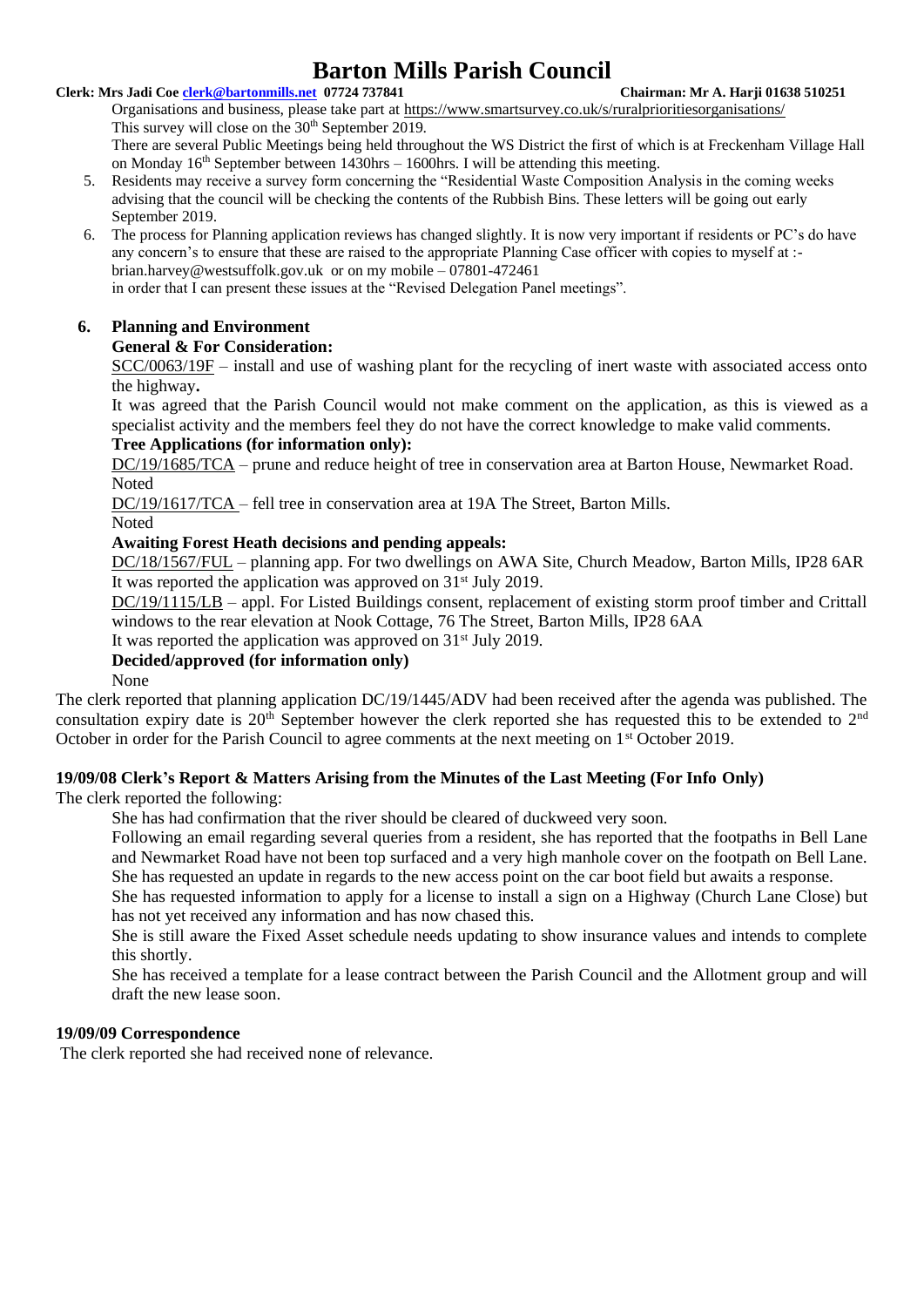#### **Clerk: Mrs Jadi Coe [clerk@bartonmills.net](mailto:clerk@bartonmills.net) 07724 737841 Chairman: Mr A. Harji 01638 510251**

Organisations and business, please take part at <https://www.smartsurvey.co.uk/s/ruralprioritiesorganisations/> This survey will close on the 30<sup>th</sup> September 2019.

There are several Public Meetings being held throughout the WS District the first of which is at Freckenham Village Hall on Monday  $16<sup>th</sup>$  September between  $1430$ hrs –  $1600$ hrs. I will be attending this meeting.

- 5. Residents may receive a survey form concerning the "Residential Waste Composition Analysis in the coming weeks advising that the council will be checking the contents of the Rubbish Bins. These letters will be going out early September 2019.
- 6. The process for Planning application reviews has changed slightly. It is now very important if residents or PC's do have any concern's to ensure that these are raised to the appropriate Planning Case officer with copies to myself at : brian.harvey@westsuffolk.gov.uk or on my mobile – 07801-472461 in order that I can present these issues at the "Revised Delegation Panel meetings".

### **6. Planning and Environment**

# **General & For Consideration:**

SCC/0063/19F – install and use of washing plant for the recycling of inert waste with associated access onto the highway**.**

It was agreed that the Parish Council would not make comment on the application, as this is viewed as a specialist activity and the members feel they do not have the correct knowledge to make valid comments.

### **Tree Applications (for information only):**

DC/19/1685/TCA – prune and reduce height of tree in conservation area at Barton House, Newmarket Road. Noted

DC/19/1617/TCA – fell tree in conservation area at 19A The Street, Barton Mills.

### **Noted**

# **Awaiting Forest Heath decisions and pending appeals:**

DC/18/1567/FUL – planning app. For two dwellings on AWA Site, Church Meadow, Barton Mills, IP28 6AR It was reported the application was approved on 31<sup>st</sup> July 2019.

DC/19/1115/LB – appl. For Listed Buildings consent, replacement of existing storm proof timber and Crittall windows to the rear elevation at Nook Cottage, 76 The Street, Barton Mills, IP28 6AA

It was reported the application was approved on 31st July 2019*.*

# **Decided/approved (for information only)**

None

The clerk reported that planning application DC/19/1445/ADV had been received after the agenda was published. The consultation expiry date is  $20<sup>th</sup>$  September however the clerk reported she has requested this to be extended to  $2<sup>nd</sup>$ October in order for the Parish Council to agree comments at the next meeting on 1<sup>st</sup> October 2019.

### **19/09/08 Clerk's Report & Matters Arising from the Minutes of the Last Meeting (For Info Only)**

The clerk reported the following:

She has had confirmation that the river should be cleared of duckweed very soon.

Following an email regarding several queries from a resident, she has reported that the footpaths in Bell Lane and Newmarket Road have not been top surfaced and a very high manhole cover on the footpath on Bell Lane. She has requested an update in regards to the new access point on the car boot field but awaits a response.

She has requested information to apply for a license to install a sign on a Highway (Church Lane Close) but has not yet received any information and has now chased this.

She is still aware the Fixed Asset schedule needs updating to show insurance values and intends to complete this shortly.

She has received a template for a lease contract between the Parish Council and the Allotment group and will draft the new lease soon.

#### **19/09/09 Correspondence**

The clerk reported she had received none of relevance.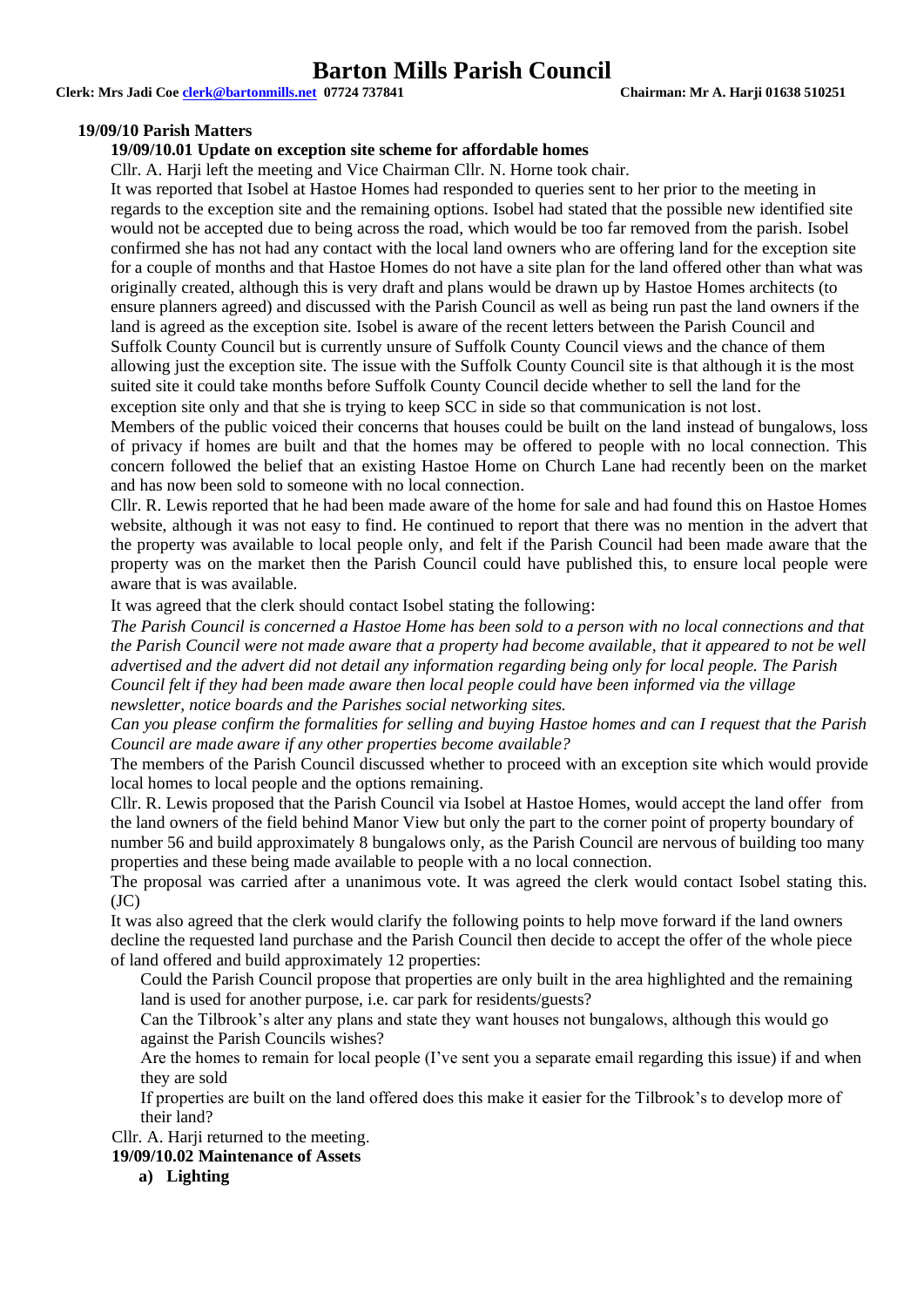**Clerk: Mrs Jadi Coe [clerk@bartonmills.net](mailto:clerk@bartonmills.net) 07724 737841 Chairman: Mr A. Harji 01638 510251**

#### **19/09/10 Parish Matters**

#### **19/09/10.01 Update on exception site scheme for affordable homes**

Cllr. A. Harii left the meeting and Vice Chairman Cllr. N. Horne took chair.

It was reported that Isobel at Hastoe Homes had responded to queries sent to her prior to the meeting in regards to the exception site and the remaining options. Isobel had stated that the possible new identified site would not be accepted due to being across the road, which would be too far removed from the parish. Isobel confirmed she has not had any contact with the local land owners who are offering land for the exception site for a couple of months and that Hastoe Homes do not have a site plan for the land offered other than what was originally created, although this is very draft and plans would be drawn up by Hastoe Homes architects (to ensure planners agreed) and discussed with the Parish Council as well as being run past the land owners if the land is agreed as the exception site. Isobel is aware of the recent letters between the Parish Council and Suffolk County Council but is currently unsure of Suffolk County Council views and the chance of them allowing just the exception site. The issue with the Suffolk County Council site is that although it is the most suited site it could take months before Suffolk County Council decide whether to sell the land for the exception site only and that she is trying to keep SCC in side so that communication is not lost.

Members of the public voiced their concerns that houses could be built on the land instead of bungalows, loss of privacy if homes are built and that the homes may be offered to people with no local connection. This concern followed the belief that an existing Hastoe Home on Church Lane had recently been on the market and has now been sold to someone with no local connection.

Cllr. R. Lewis reported that he had been made aware of the home for sale and had found this on Hastoe Homes website, although it was not easy to find. He continued to report that there was no mention in the advert that the property was available to local people only, and felt if the Parish Council had been made aware that the property was on the market then the Parish Council could have published this, to ensure local people were aware that is was available.

It was agreed that the clerk should contact Isobel stating the following:

*The Parish Council is concerned a Hastoe Home has been sold to a person with no local connections and that the Parish Council were not made aware that a property had become available, that it appeared to not be well advertised and the advert did not detail any information regarding being only for local people. The Parish Council felt if they had been made aware then local people could have been informed via the village newsletter, notice boards and the Parishes social networking sites.*

*Can you please confirm the formalities for selling and buying Hastoe homes and can I request that the Parish Council are made aware if any other properties become available?*

The members of the Parish Council discussed whether to proceed with an exception site which would provide local homes to local people and the options remaining.

Cllr. R. Lewis proposed that the Parish Council via Isobel at Hastoe Homes, would accept the land offer from the land owners of the field behind Manor View but only the part to the corner point of property boundary of number 56 and build approximately 8 bungalows only, as the Parish Council are nervous of building too many properties and these being made available to people with a no local connection.

The proposal was carried after a unanimous vote. It was agreed the clerk would contact Isobel stating this. (JC)

It was also agreed that the clerk would clarify the following points to help move forward if the land owners decline the requested land purchase and the Parish Council then decide to accept the offer of the whole piece of land offered and build approximately 12 properties:

Could the Parish Council propose that properties are only built in the area highlighted and the remaining land is used for another purpose, i.e. car park for residents/guests?

Can the Tilbrook's alter any plans and state they want houses not bungalows, although this would go against the Parish Councils wishes?

Are the homes to remain for local people (I've sent you a separate email regarding this issue) if and when they are sold

If properties are built on the land offered does this make it easier for the Tilbrook's to develop more of their land?

Cllr. A. Harii returned to the meeting.

**19/09/10.02 Maintenance of Assets**

**a) Lighting**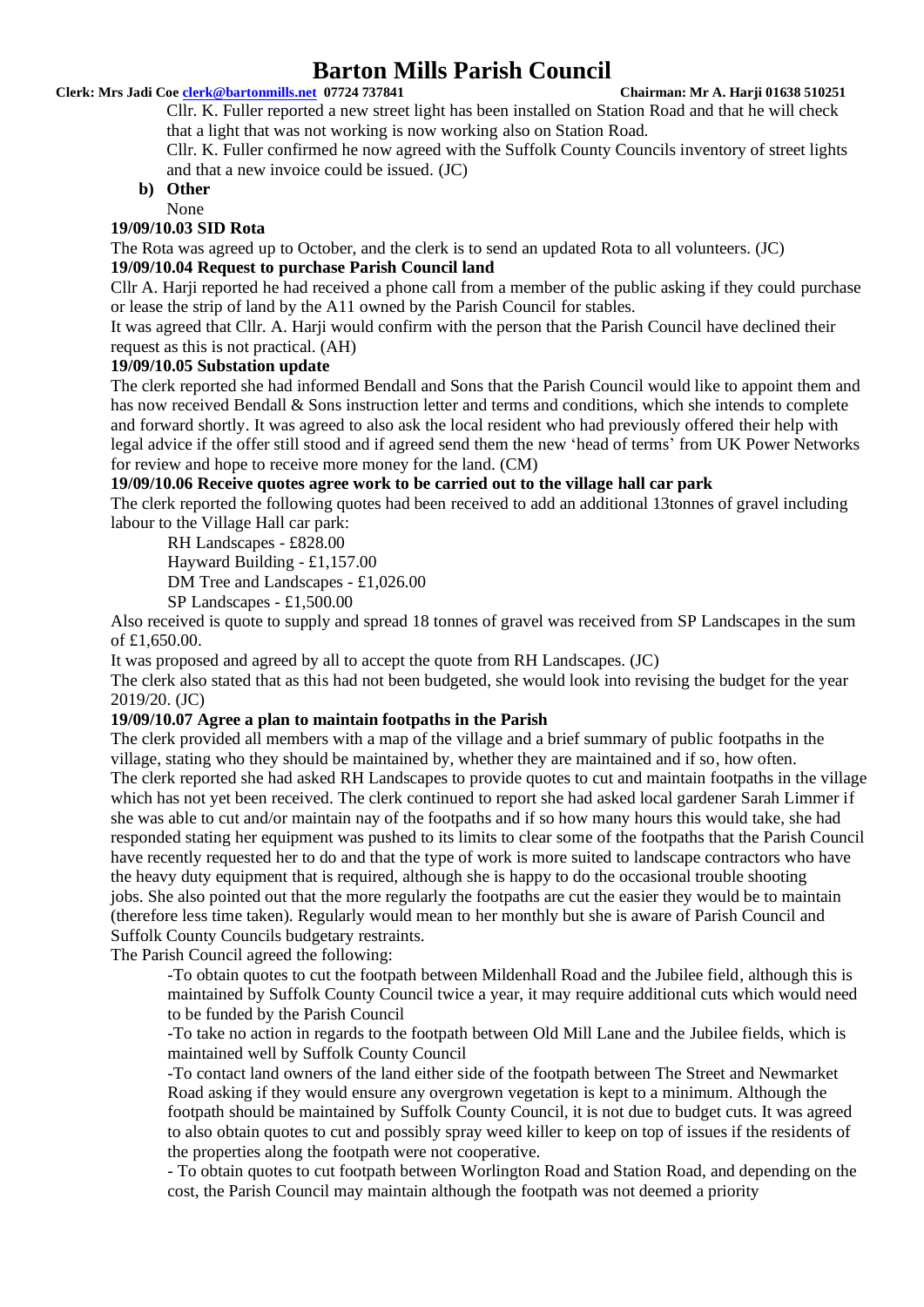#### **Clerk: Mrs Jadi Coe [clerk@bartonmills.net](mailto:clerk@bartonmills.net) 07724 737841 Chairman: Mr A. Harji 01638 510251**

Cllr. K. Fuller reported a new street light has been installed on Station Road and that he will check that a light that was not working is now working also on Station Road.

Cllr. K. Fuller confirmed he now agreed with the Suffolk County Councils inventory of street lights and that a new invoice could be issued. (JC)

# **b) Other**

# None

# **19/09/10.03 SID Rota**

The Rota was agreed up to October, and the clerk is to send an updated Rota to all volunteers. (JC)

### **19/09/10.04 Request to purchase Parish Council land**

Cllr A. Harii reported he had received a phone call from a member of the public asking if they could purchase or lease the strip of land by the A11 owned by the Parish Council for stables.

It was agreed that Cllr. A. Harji would confirm with the person that the Parish Council have declined their request as this is not practical. (AH)

#### **19/09/10.05 Substation update**

The clerk reported she had informed Bendall and Sons that the Parish Council would like to appoint them and has now received Bendall & Sons instruction letter and terms and conditions, which she intends to complete and forward shortly. It was agreed to also ask the local resident who had previously offered their help with legal advice if the offer still stood and if agreed send them the new 'head of terms' from UK Power Networks for review and hope to receive more money for the land. (CM)

#### **19/09/10.06 Receive quotes agree work to be carried out to the village hall car park**

The clerk reported the following quotes had been received to add an additional 13tonnes of gravel including labour to the Village Hall car park:

RH Landscapes - £828.00

Hayward Building - £1,157.00

DM Tree and Landscapes - £1,026.00

SP Landscapes - £1,500.00

Also received is quote to supply and spread 18 tonnes of gravel was received from SP Landscapes in the sum of £1,650.00.

It was proposed and agreed by all to accept the quote from RH Landscapes. (JC)

The clerk also stated that as this had not been budgeted, she would look into revising the budget for the year 2019/20. (JC)

#### **19/09/10.07 Agree a plan to maintain footpaths in the Parish**

The clerk provided all members with a map of the village and a brief summary of public footpaths in the village, stating who they should be maintained by, whether they are maintained and if so, how often. The clerk reported she had asked RH Landscapes to provide quotes to cut and maintain footpaths in the village which has not yet been received. The clerk continued to report she had asked local gardener Sarah Limmer if she was able to cut and/or maintain nay of the footpaths and if so how many hours this would take, she had responded stating her equipment was pushed to its limits to clear some of the footpaths that the Parish Council have recently requested her to do and that the type of work is more suited to landscape contractors who have the heavy duty equipment that is required, although she is happy to do the occasional trouble shooting jobs. She also pointed out that the more regularly the footpaths are cut the easier they would be to maintain (therefore less time taken). Regularly would mean to her monthly but she is aware of Parish Council and Suffolk County Councils budgetary restraints.

The Parish Council agreed the following:

-To obtain quotes to cut the footpath between Mildenhall Road and the Jubilee field, although this is maintained by Suffolk County Council twice a year, it may require additional cuts which would need to be funded by the Parish Council

-To take no action in regards to the footpath between Old Mill Lane and the Jubilee fields, which is maintained well by Suffolk County Council

-To contact land owners of the land either side of the footpath between The Street and Newmarket Road asking if they would ensure any overgrown vegetation is kept to a minimum. Although the footpath should be maintained by Suffolk County Council, it is not due to budget cuts. It was agreed to also obtain quotes to cut and possibly spray weed killer to keep on top of issues if the residents of the properties along the footpath were not cooperative.

- To obtain quotes to cut footpath between Worlington Road and Station Road, and depending on the cost, the Parish Council may maintain although the footpath was not deemed a priority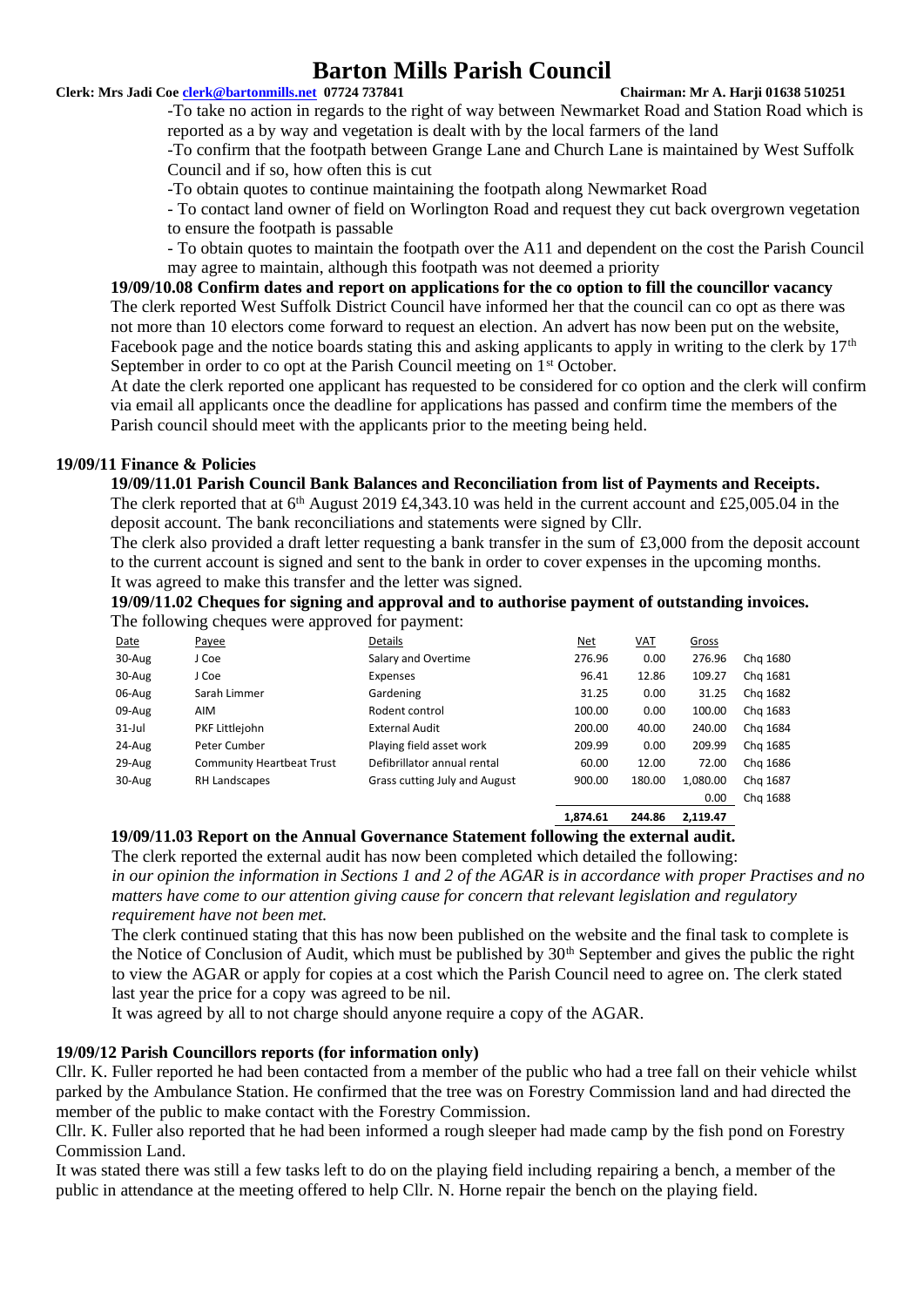#### **Clerk: Mrs Jadi Coe [clerk@bartonmills.net](mailto:clerk@bartonmills.net) 07724 737841 Chairman: Mr A. Harji 01638 510251**

-To take no action in regards to the right of way between Newmarket Road and Station Road which is reported as a by way and vegetation is dealt with by the local farmers of the land

-To confirm that the footpath between Grange Lane and Church Lane is maintained by West Suffolk Council and if so, how often this is cut

-To obtain quotes to continue maintaining the footpath along Newmarket Road

- To contact land owner of field on Worlington Road and request they cut back overgrown vegetation to ensure the footpath is passable

- To obtain quotes to maintain the footpath over the A11 and dependent on the cost the Parish Council may agree to maintain, although this footpath was not deemed a priority

**19/09/10.08 Confirm dates and report on applications for the co option to fill the councillor vacancy** The clerk reported West Suffolk District Council have informed her that the council can co opt as there was not more than 10 electors come forward to request an election. An advert has now been put on the website, Facebook page and the notice boards stating this and asking applicants to apply in writing to the clerk by 17<sup>th</sup> September in order to co opt at the Parish Council meeting on 1<sup>st</sup> October.

At date the clerk reported one applicant has requested to be considered for co option and the clerk will confirm via email all applicants once the deadline for applications has passed and confirm time the members of the Parish council should meet with the applicants prior to the meeting being held.

# **19/09/11 Finance & Policies**

#### **19/09/11.01 Parish Council Bank Balances and Reconciliation from list of Payments and Receipts.**

The clerk reported that at  $6<sup>th</sup>$  August 2019 £4,343.10 was held in the current account and £25,005.04 in the deposit account. The bank reconciliations and statements were signed by Cllr.

The clerk also provided a draft letter requesting a bank transfer in the sum of £3,000 from the deposit account to the current account is signed and sent to the bank in order to cover expenses in the upcoming months. It was agreed to make this transfer and the letter was signed.

**19/09/11.02 Cheques for signing and approval and to authorise payment of outstanding invoices.** The following cheques were approved for payment.

| The following enequos were apply out for payment. |                                  |                               |        |            |          |          |  |  |
|---------------------------------------------------|----------------------------------|-------------------------------|--------|------------|----------|----------|--|--|
| Date                                              | Payee                            | Details                       | Net    | <b>VAT</b> | Gross    |          |  |  |
| 30-Aug                                            | J Coe                            | Salary and Overtime           | 276.96 | 0.00       | 276.96   | Chg 1680 |  |  |
| 30-Aug                                            | J Coe                            | Expenses                      | 96.41  | 12.86      | 109.27   | Chg 1681 |  |  |
| 06-Aug                                            | Sarah Limmer                     | Gardening                     | 31.25  | 0.00       | 31.25    | Chg 1682 |  |  |
| 09-Aug                                            | AIM                              | Rodent control                | 100.00 | 0.00       | 100.00   | Chg 1683 |  |  |
| $31$ -Jul                                         | PKF Littlejohn                   | <b>External Audit</b>         | 200.00 | 40.00      | 240.00   | Chg 1684 |  |  |
| 24-Aug                                            | Peter Cumber                     | Playing field asset work      | 209.99 | 0.00       | 209.99   | Chg 1685 |  |  |
| 29-Aug                                            | <b>Community Heartbeat Trust</b> | Defibrillator annual rental   | 60.00  | 12.00      | 72.00    | Chg 1686 |  |  |
| 30-Aug                                            | RH Landscapes                    | Grass cutting July and August | 900.00 | 180.00     | 1,080.00 | Chg 1687 |  |  |
|                                                   |                                  |                               |        |            | 0.00     | Chg 1688 |  |  |
|                                                   |                                  |                               |        |            |          |          |  |  |

$$
1,874.61 \qquad 244.86 \qquad 2,119.47
$$

**19/09/11.03 Report on the Annual Governance Statement following the external audit.**

The clerk reported the external audit has now been completed which detailed the following:

*in our opinion the information in Sections 1 and 2 of the AGAR is in accordance with proper Practises and no matters have come to our attention giving cause for concern that relevant legislation and regulatory requirement have not been met.*

The clerk continued stating that this has now been published on the website and the final task to complete is the Notice of Conclusion of Audit, which must be published by  $30<sup>th</sup>$  September and gives the public the right to view the AGAR or apply for copies at a cost which the Parish Council need to agree on. The clerk stated last year the price for a copy was agreed to be nil.

It was agreed by all to not charge should anyone require a copy of the AGAR.

### **19/09/12 Parish Councillors reports (for information only)**

Cllr. K. Fuller reported he had been contacted from a member of the public who had a tree fall on their vehicle whilst parked by the Ambulance Station. He confirmed that the tree was on Forestry Commission land and had directed the member of the public to make contact with the Forestry Commission.

Cllr. K. Fuller also reported that he had been informed a rough sleeper had made camp by the fish pond on Forestry Commission Land.

It was stated there was still a few tasks left to do on the playing field including repairing a bench, a member of the public in attendance at the meeting offered to help Cllr. N. Horne repair the bench on the playing field.